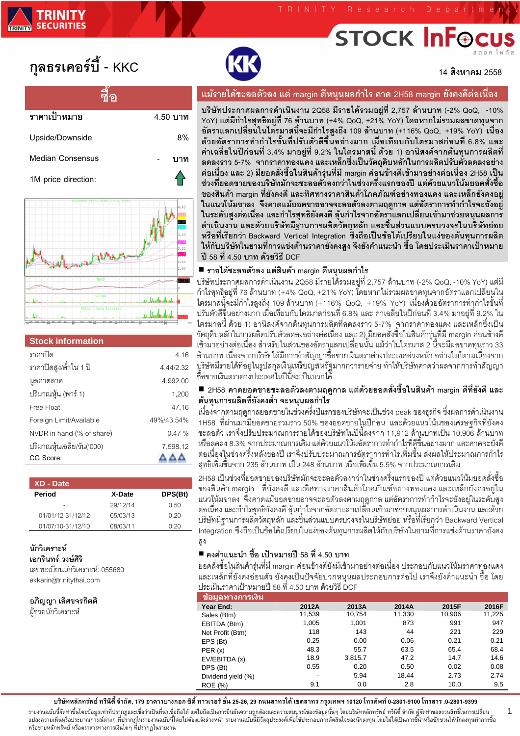# **STOCK InFe**

# กุลธรเคอร์บี้ - KKC

| ราคาเป้าหมาย            | 4.50 บาท |
|-------------------------|----------|
| Upside/Downside         | 8%       |
| <b>Median Consensus</b> |          |
| 1M price direction:     |          |



#### **Stock information**

| ราคาปิด                    | 4.16       |
|----------------------------|------------|
| ราคาปิดสูง/ต่ำใน 1 ปี      | 4.44/2.32  |
| มูลค่าตลาด                 | 4.992.00   |
| ปริมาณหุ้น (พาร์ 1)        | 1,200      |
| Free Float                 | 47.16      |
| Foreign Limit/Available    | 49%/43.54% |
| NVDR in hand (% of share)  | 0.47%      |
| ปริมาณหุ้นเฉลี่ย/วัน('000) | 7,598.12   |
| CG Score:                  |            |

| XD - Date         |          |         |
|-------------------|----------|---------|
| Period            | X-Date   | DPS(Bt) |
|                   | 29/12/14 | 0.50    |
| 01/01/12-31/12/12 | 05/03/13 | 0.20    |
| 01/07/10-31/12/10 | 08/03/11 | N 20    |

#### นักวิเคราะห์

เคกรินทร์ วงษ์ศิริ

เลขทะเบียนนักวิเคราะห์: 055680 ekkarin@trinitythai.com

้อภิณฌา เลิศขจรกิตติ

ผ้ช่วยนักวิเคราะห์



14 สิงหาคม 2558

## แม้รายได้ชะลอตัวลง แต่ margin ดีหนุนผลกำไร คาด 2H58 margin ยังคงดีต่อเนื่อง

บริษัทประกาศผลการดำเนินงาน 2Q58 มีรายได้รวมอยู่ที่ 2,757 ล้านบาท (-2% QoQ, -10% YoY) แต่มีกำไรสทธิอย่ที่ 76 ล้านบาท (+4% QoQ, +21% YoY) โดยหากไม่รวมผลขาดทนจาก อัตราแลกเปลี่ยนในไต<sup>้</sup>รมาสนี้จะมีกำไรสูงถึง 109 ล้านบาท (+116% QoQ, +19% YoY) เนื่อง ด้วยอัตราการทำกำไรขั้นที่ปรับตัวดีขึ้นอย่างมาก เมื่อเทียบกับไตรมาสก่อนที่ 6.8% และ ้ค่าเฉลี่ยในปีก่อนที่ 3.4% มาอย่ที่ 9.2% ในไตรมาสนี้ ด้วย 1) อานิสงค์จากต้นทนการผลิตที่ ิลดลงราว 5-7% จากราคาทองแดง และเหล็กซึ่งเป็นวัตถุดิบหลักในการผลิตปรับตัวลดลงอย่าง ต่อเนื่อง และ 2) มียอดสั่งซื้อในสินค้ารุ่นที่มี margin ค่อนข้างดีเข้ามาอย่างต่อเนื่อง 2H58 เป็น ช่วงที่ยอดขายของบริษัทมักจะชะลอตัวลงกว่าในช่วงครึ่งแรกของปี แต่ด้วยแนวโน้มยอดสั่งซื้อ ี ของสินค้า margin ที่ยังคงดี และทิศทางราคาสินค้าโภคภัณฑ์อย่างทองแดง และเหล็กยังคงอย่ ในแนวโน้มขาลง จึงคาดแม้ยอดขายอาจจะลอตัวลงตามฤดูกาล แต่อัตราการทำกำไรจะยังอยู่ ในระดับสูงต่อเนื่อง และกำไรสุทธิยังคงดี ลุ้นกำไรจากอัตราแลกเปลี่ยนเข้ามาช่วยหนุนผลการ ดำเนินงาน และด้วยบริษัทมีฐานการผลิตวัตถหลัก และชิ้นส่วนแบบครบวงจรในบริษัทย่อย หรือที่เรียกว่า Backward Vertical Integration ซึ่งถือเป็นข้อได้เปรียบในแง่ของต้นทนการผลิต ให้กับบริษัทในยามที่การแข่งด้านราคายังคงสูง จึงยังคำแนะนำ ซื้อ โดยประเมินราคาเป้าหมาย ปี 58 ที่ 4.50 บาท ด้วยวิธี DCF

#### ■ รายได้ชะลอตัวลง แต่สินค้า margin ดีหนุนผลกำไร

บริษัทประกาศผลการดำเนินงาน 2Q58 มีรายได้รวมอยู่ที่ 2,757 ล้านบาท (-2% QoQ, -10% YoY) แต่มี .กำไรสุทธิฺอยู่ที่ 76 ล้านบาท (+4% QoQ, +21% YoY) โดยหากไม่รวมผลขาดทุนจากอัตราแลกเปลี่ยนูใน ไตรมาสนี้จะมีกำไรสูงถึง 109 ล้านบาท (+116% QoQ, +19% YoY) เนื่องด้วยอัตราการทำกำไรขั้นที่ ี ปรับตัวดีขึ้นอย่างมาก เมื่อเทียบกับไตรมาสก่อนที่ 6.8% และ ค่าเฉลี่ยในปีก่อนที่ 3.4% มาอยู่ที่ 9.2% ใน ไตรมาสนี ด้วย 1) อานิสงค์จากต้นทุนการผลิตที่ลดลงราว 5-7% จากราคาทองแดง และเหล็กซึ่งเป็น ้วัตถุดิบหลักในการผลิตปรับตัวลดลงอย่างต่อเนื่อง และ 2) มียอดสังชื่อในสินค้ารุ่นูที่มี margin ค่อนข้างดี เข้ามาอย่างต่อเนื่อง สำหรับในส่วนของอัตราแลกเปลี่ยนนั้น แม้ว่าในไตรมาส 2 นี้จะมีผลขาดทุนราว 33 ้ล้านบาท เนื่องจากบริษัทได้มีการทำสัญญาซื้อขายเงินตราต่างประเทศล่วงหน้า อย่างไรก็ตามเนื่องจาก บูริษัทมีรายได้ที่อยู่ในรูปสกุลเงินเหรียญสหรัฐมากกว่ารายจ่าย ทำให้บริษัทคาดว่าผลจากการทำสัญญา ซื้อขายเงินตราต่างประเทศในปีนี้จะเป็นบวกได้

#### ■ 2H58 คาดยอดขายชะลอตัวลงตามฤดูกาล แต่ด้วยยอดสั่งซื้อในสินค้า margin ดีที่ยังดี และ ้ต้นทุนการผลิตที่ยังคงต่ำ จะหนุนผลกำไร

่ เนื่องจากตามฤดูกาลยอดขายในช่วงครึ่งปีแรกของบริษัทจะเป็นช่วง peak ของธุรกิจ ซึ่งผลการดำเนินงาน 1H58 ที่ผ่านมามียอดขายรวมราว 50% ของยอดขายในปีก่อน และด้วยแนวโน้มของเศรษฐกิจที่ยังคง ้ชะลอตัว เราจึงปรับประมาณการรายได้ของบริษัทในปีนี้ลงจาก 11,912 ล้านบาทเป็น 10,906 ล้านบาท หรือลดลง 8.3% จากประมาณการเดิม แต่ด้วยแนวโน้มอัตราการทำกำไรที่ดีขึ้นอย่างมาก และคาดจะยังดี ้ต่อเนื่องในช่วงครึ่งหลังของปี เราจึงปรับประมาณการอัตราการทำไรเพิ่มขึ้น ส่งผลให้ประมาณการกำไร ิสุทธิเพิ่มขึ้นจาก 235 ล้านบาท เป็น 248 ล้านบาท หรือเพิ่มขึ้น 5.5% จากประมาณการเดิม

2H58 เป็นช่วงที่ยอดขายของบริษัทมักจะชะลอตัวลงกว่าในช่วงครึ่งแรกของปี แต่ด้วยแนวโน้มยอดสั่งซื้อ ของสินค้า margin ที่ยังคงดี และทิศทางราคาสินค้าโภคภัณฑ์อย่างทองแดง และเหล็กยังคงอยู่ใน แนวโน้มขาลง จึงคาดแม้ยอดขายอาจจะลอตัวลงตามฤดูกาล แต่อัตราการทำกำไรจะยังอยู่ในระดับสูง ้ต่อเนื่อง และกำไรสุทธิยังคงดี ลุ้นกุำไรจากอัตราแลกเปลี่ยนเข้ามาช่วยหนุนผลการดำเนินงาน และด้วย ้บริษัทมีฐานการผลิตวัตถุหลัก และชิ้นส่วนแบบครบวงจรในบริษัทย่อย หรือที่เรียกว่า Backward Vertical Integration ซึ่งถือเป็นข้อได้เปรียบในแง่ของต้นทุนการผลิตให้กับบริษัทในยามที่การแข่งด้านราคายังคง

# ■ คงคำแนะนำ ซื้อ เป้าหมายปี 58 ที่ 4.50 บาท

ียอดสั่งซื้อในสินค้ารุ่นที่มี margin ค่อนข้างดียังมีเข้ามาอย่างต่อเนื่อง ประกอบกับแนวโน้มราคาทองแดง ี และเหล็กที่ยังคงอ่อนตัว ยังคงเป็นปัจจัยบวกหนุนผลประกอบการต่อไป เราจึงยังคำแนะนำ ซื้อ โดย ประเมินราคาเป้าหมายปี 58 ที่ 4.50 บาท ด้วยวิธี DCF

| <u>ข้อม</u> ูลทางการเงิน |        |         |        |        |        |
|--------------------------|--------|---------|--------|--------|--------|
| Year End:                | 2012A  | 2013A   | 2014A  | 2015F  | 2016F  |
| Sales (Btm)              | 11,539 | 10,754  | 11,330 | 10,906 | 11,225 |
| EBITDA (Btm)             | 1,005  | 1,001   | 873    | 991    | 947    |
| Net Profit (Btm)         | 118    | 143     | 44     | 221    | 229    |
| EPS (Bt)                 | 0.25   | 0.00    | 0.06   | 0.21   | 0.21   |
| PER(x)                   | 48.3   | 55.7    | 63.5   | 65.4   | 68.4   |
| EV/EBITDA (x)            | 18.9   | 3,815.7 | 47.2   | 14.7   | 14.6   |
| DPS (Bt)                 | 0.55   | 0.20    | 0.50   | 0.02   | 0.08   |
| Dividend yield (%)       | -      | 5.94    | 18.44  | 2.73   | 2.74   |
| ROE (%)                  | 9.1    | 0.0     | 2.8    | 10.0   | 9.5    |

บริษัทหลักทรัพย์ ทรีนีตี้ จำกัด, 179 อาคารบางกอก ซิตี้ ทาวเวอร์ ชั้น 25-26, 29 ถนนสาทรใต้ เขตสาทร กรุงเทพฯ 10120 โทรศัพท์ 0-2801-9100 โทรสาร .0-2801-9399

รายงานฉบับนี้จัดทำขึ้นโดยข้อมูลเท่าที่ปรากฏและเชื่อว่าเป็นที่น่าเชื่อถือได้ แต่ไม่ถือเป็นการยืนยันกวามถูกต้องและความสมบูรณ์ของข้อมูลนั้นๆ โดยบริษัทหลักทรัพย์ ทรีนี้ตี จำกัด ผู้จัดทำขอสงวนสิทธิ์ในการเปลี่ยน<br>แปลงความเห็นหรื หรือขายหลักทรัพย์ หรือตราสารทางการเงินใด ๆ ที่ปรากฏในรายงาน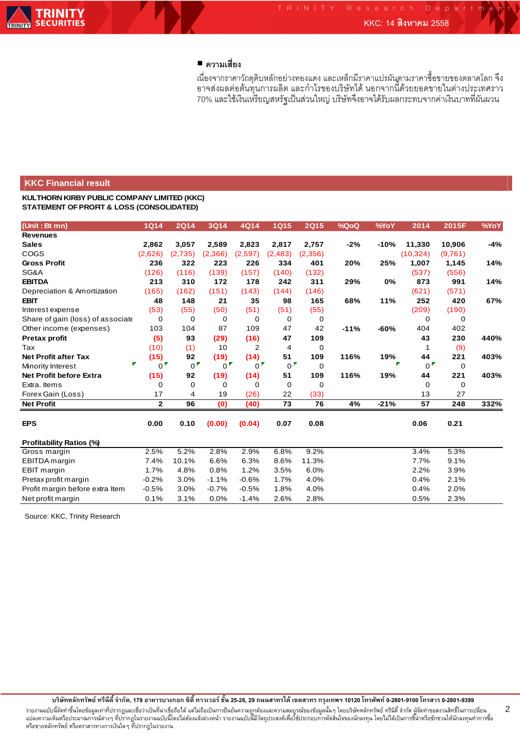## **■** ความเสี่ยง

เนื่องจากราคาวัถตุดิบหลักอย่างทองแดง และเหล็กมีราคาแปรผันตามราคาซื้อขายของตลาดโลก จึง อาจส่งผลต่อต้นทุนการผลิต และกำไรของบริษัทได้ นอกจากนี้ด้วยยอดขายในต่างประเทศราว 70% และใช้เงินเหรียญสหรัฐเป็นส่วนใหญ่ บริษัทจึงอาจได้รับผลกระทบจากค่าเงินบาทที่ผันผวน

#### **KKC Financial result**

**KULTHORN KIRBY PUBLIC COMPANY LIMITED (KKC) STATEMENT OF PROFIT & LOSS (CONSOLIDATED)**

| (Unit: Bt mn)                     | <b>1Q14</b>      | <b>2Q14</b>    | 3Q14             | 4Q14             | <b>1Q15</b>    | <b>2Q15</b> | %QoQ   | %YoY   | 2014             | 2015F   | %YoY  |
|-----------------------------------|------------------|----------------|------------------|------------------|----------------|-------------|--------|--------|------------------|---------|-------|
| <b>Revenues</b>                   |                  |                |                  |                  |                |             |        |        |                  |         |       |
| <b>Sales</b>                      | 2,862            | 3,057          | 2,589            | 2,823            | 2,817          | 2,757       | $-2%$  | $-10%$ | 11,330           | 10,906  | $-4%$ |
| COGS                              | (2,626)          | (2,735)        | (2,366)          | (2,597)          | (2,483)        | (2,356)     |        |        | (10, 324)        | (9,761) |       |
| <b>Gross Profit</b>               | 236              | 322            | 223              | 226              | 334            | 401         | 20%    | 25%    | 1,007            | 1,145   | 14%   |
| SG&A                              | (126)            | (116)          | (139)            | (157)            | (140)          | (132)       |        |        | (537)            | (556)   |       |
| <b>EBITDA</b>                     | 213              | 310            | 172              | 178              | 242            | 311         | 29%    | 0%     | 873              | 991     | 14%   |
| Depreciation & Amortization       | (165)            | (162)          | (151)            | (143)            | (144)          | (146)       |        |        | (621)            | (571)   |       |
| <b>EBIT</b>                       | 48               | 148            | 21               | 35               | 98             | 165         | 68%    | 11%    | 252              | 420     | 67%   |
| Interest expense                  | (53)             | (55)           | (50)             | (51)             | (51)           | (55)        |        |        | (209)            | (190)   |       |
| Share of gain (loss) of associate | 0                | 0              | 0                | 0                | 0              | 0           |        |        | 0                | 0       |       |
| Other income (expenses)           | 103              | 104            | 87               | 109              | 47             | 42          | $-11%$ | $-60%$ | 404              | 402     |       |
| <b>Pretax profit</b>              | (5)              | 93             | (29)             | (16)             | 47             | 109         |        |        | 43               | 230     | 440%  |
| Tax                               | (10)             | (1)            | 10               | 2                | $\overline{4}$ | 0           |        |        | 1                | (9)     |       |
| <b>Net Profit after Tax</b>       | (15)             | 92             | (19)             | (14)             | 51             | 109         | 116%   | 19%    | 44               | 221     | 403%  |
| P<br>Minority Interest            | $0^{\mathsf{F}}$ | 0 <sup>F</sup> | $0^{\mathsf{F}}$ | $0^{\mathsf{F}}$ | 0 <sup>F</sup> | 0           |        |        | $0^{\mathsf{F}}$ | 0       |       |
| Net Profit before Extra           | (15)             | 92             | (19)             | (14)             | 51             | 109         | 116%   | 19%    | 44               | 221     | 403%  |
| Extra, Items                      | 0                | 0              | 0                | 0                | 0              | 0           |        |        | 0                | 0       |       |
| Forex Gain (Loss)                 | 17               | 4              | 19               | (26)             | 22             | (33)        |        |        | 13               | 27      |       |
| <b>Net Profit</b>                 | $\overline{2}$   | 96             | (0)              | (40)             | 73             | 76          | 4%     | $-21%$ | 57               | 248     | 332%  |
| <b>EPS</b>                        | 0.00             | 0.10           | (0.00)           | (0.04)           | 0.07           | 0.08        |        |        | 0.06             | 0.21    |       |
| <b>Profitability Ratios (%)</b>   |                  |                |                  |                  |                |             |        |        |                  |         |       |
| Gross margin                      | 2.5%             | 5.2%           | 2.8%             | 2.9%             | 6.8%           | 9.2%        |        |        | 3.4%             | 5.3%    |       |
| EBITDA margin                     | 7.4%             | 10.1%          | 6.6%             | 6.3%             | 8.6%           | 11.3%       |        |        | 7.7%             | 9.1%    |       |
| EBIT margin                       | 1.7%             | 4.8%           | 0.8%             | 1.2%             | 3.5%           | 6.0%        |        |        | 2.2%             | 3.9%    |       |
| Pretax profit margin              | $-0.2%$          | 3.0%           | $-1.1%$          | $-0.6%$          | 1.7%           | 4.0%        |        |        | 0.4%             | 2.1%    |       |
| Profit margin before extra Item   | $-0.5%$          | 3.0%           | $-0.7%$          | $-0.5%$          | 1.8%           | 4.0%        |        |        | 0.4%             | 2.0%    |       |
| Net profit margin                 | 0.1%             | 3.1%           | 0.0%             | $-1.4%$          | 2.6%           | 2.8%        |        |        | 0.5%             | 2.3%    |       |

Source: KKC, Trinity Research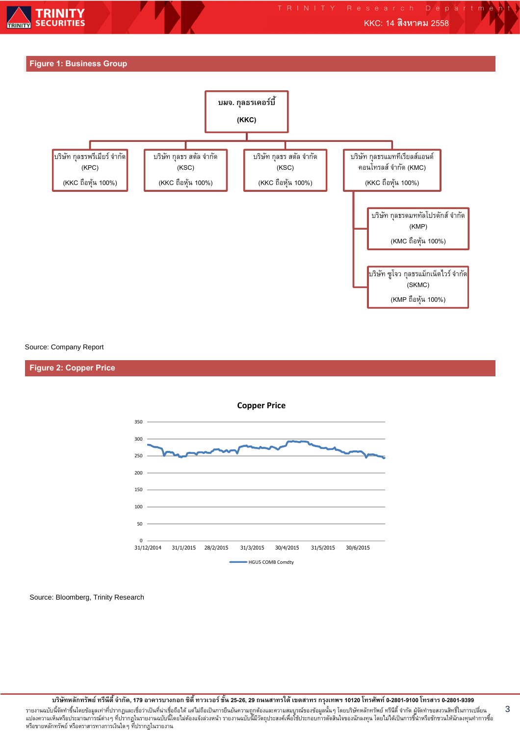





Source: Company Report

#### **Figure 2: Copper Price**



Source: Bloomberg, Trinity Research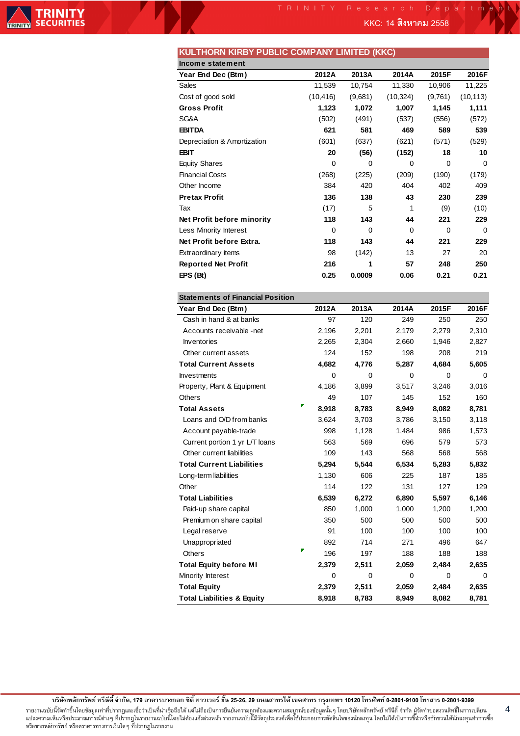**KKC: 14 2558**

|  | KULTHORN KIRBY PUBLIC COMPANY LIMITED (KKC) |  |
|--|---------------------------------------------|--|
|--|---------------------------------------------|--|

| Income statement            |           |          |             |          |           |
|-----------------------------|-----------|----------|-------------|----------|-----------|
| Year End Dec (Btm)          | 2012A     | 2013A    | 2014A       | 2015F    | 2016F     |
| Sales                       | 11,539    | 10,754   | 11,330      | 10,906   | 11,225    |
| Cost of good sold           | (10, 416) | (9,681)  | (10, 324)   | (9,761)  | (10, 113) |
| <b>Gross Profit</b>         | 1,123     | 1,072    | 1,007       | 1,145    | 1,111     |
| SG&A                        | (502)     | (491)    | (537)       | (556)    | (572)     |
| <b>EBITDA</b>               | 621       | 581      | 469         | 589      | 539       |
| Depreciation & Amortization | (601)     | (637)    | (621)       | (571)    | (529)     |
| <b>EBIT</b>                 | 20        | (56)     | (152)       | 18       | 10        |
| <b>Equity Shares</b>        | $\Omega$  | 0        | 0           | $\Omega$ | $\Omega$  |
| <b>Financial Costs</b>      | (268)     | (225)    | (209)       | (190)    | (179)     |
| Other Income                | 384       | 420      | 404         | 402      | 409       |
| <b>Pretax Profit</b>        | 136       | 138      | 43          | 230      | 239       |
| Tax                         | (17)      | 5        | 1           | (9)      | (10)      |
| Net Profit before minority  | 118       | 143      | 44          | 221      | 229       |
| Less Minority Interest      | $\Omega$  | $\Omega$ | $\mathbf 0$ | $\Omega$ | $\Omega$  |
| Net Profit before Extra.    | 118       | 143      | 44          | 221      | 229       |
| <b>Extraordinary items</b>  | 98        | (142)    | 13          | 27       | 20        |
| <b>Reported Net Profit</b>  | 216       | 1        | 57          | 248      | 250       |
| EPS (Bt)                    | 0.25      | 0.0009   | 0.06        | 0.21     | 0.21      |

| <b>Statements of Financial Position</b> |  |  |
|-----------------------------------------|--|--|
|-----------------------------------------|--|--|

| Year End Dec (Btm)                    | 2012A       | 2013A       | 2014A | 2015F | 2016F       |
|---------------------------------------|-------------|-------------|-------|-------|-------------|
| Cash in hand & at banks               | 97          | 120         | 249   | 250   | 250         |
| Accounts receivable -net              | 2,196       | 2,201       | 2,179 | 2,279 | 2,310       |
| <b>Inventories</b>                    | 2,265       | 2,304       | 2,660 | 1,946 | 2,827       |
| Other current assets                  | 124         | 152         | 198   | 208   | 219         |
| <b>Total Current Assets</b>           | 4,682       | 4,776       | 5,287 | 4,684 | 5,605       |
| <b>Investments</b>                    | 0           | 0           | 0     | 0     | 0           |
| Property, Plant & Equipment           | 4,186       | 3,899       | 3,517 | 3.246 | 3,016       |
| <b>Others</b>                         | 49          | 107         | 145   | 152   | 160         |
| <b>Total Assets</b>                   | 8,918       | 8,783       | 8,949 | 8,082 | 8,781       |
| Loans and O/D from banks              | 3,624       | 3,703       | 3,786 | 3,150 | 3,118       |
| Account payable-trade                 | 998         | 1,128       | 1,484 | 986   | 1,573       |
| Current portion 1 yr L/T loans        | 563         | 569         | 696   | 579   | 573         |
| Other current liabilities             | 109         | 143         | 568   | 568   | 568         |
| <b>Total Current Liabilities</b>      | 5,294       | 5,544       | 6,534 | 5,283 | 5,832       |
| Long-term liabilities                 | 1,130       | 606         | 225   | 187   | 185         |
| Other                                 | 114         | 122         | 131   | 127   | 129         |
| <b>Total Liabilities</b>              | 6,539       | 6,272       | 6,890 | 5,597 | 6,146       |
| Paid-up share capital                 | 850         | 1,000       | 1,000 | 1,200 | 1,200       |
| Premium on share capital              | 350         | 500         | 500   | 500   | 500         |
| Legal reserve                         | 91          | 100         | 100   | 100   | 100         |
| Unappropriated                        | 892         | 714         | 271   | 496   | 647         |
| <b>Others</b>                         | Ŧ<br>196    | 197         | 188   | 188   | 188         |
| <b>Total Equity before MI</b>         | 2,379       | 2,511       | 2,059 | 2,484 | 2,635       |
| Minority Interest                     | $\mathbf 0$ | $\mathbf 0$ | 0     | 0     | $\mathbf 0$ |
| <b>Total Equity</b>                   | 2,379       | 2,511       | 2,059 | 2,484 | 2,635       |
| <b>Total Liabilities &amp; Equity</b> | 8,918       | 8,783       | 8,949 | 8,082 | 8,781       |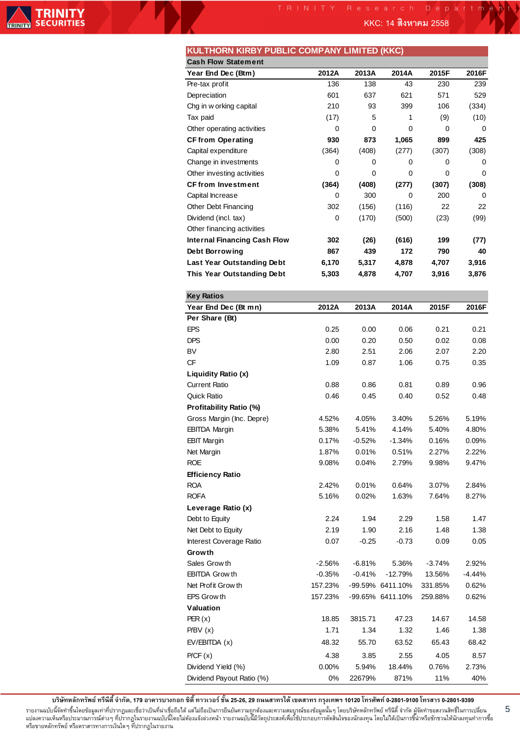**KKC: 14 2558**

| KULTHORN KIRBY PUBLIC COMPANY LIMITED (KKC) |  |
|---------------------------------------------|--|
|---------------------------------------------|--|

| <b>Cash Flow Statement</b>          |          |          |                  |          |          |
|-------------------------------------|----------|----------|------------------|----------|----------|
| Year End Dec (Btm)                  | 2012A    | 2013A    | 2014A            | 2015F    | 2016F    |
| Pre-tax profit                      | 136      | 138      | 43               | 230      | 239      |
| Depreciation                        | 601      | 637      | 621              | 571      | 529      |
| Chg in w orking capital             | 210      | 93       | 399              | 106      | (334)    |
| Tax paid                            | (17)     | 5        | 1                | (9)      | (10)     |
| Other operating activities          | 0        | 0        | 0                | 0        | 0        |
| <b>CF from Operating</b>            | 930      | 873      | 1,065            | 899      | 425      |
| Capital expenditure                 | (364)    | (408)    | (277)            | (307)    | (308)    |
| Change in investments               | 0        | 0        | 0                | 0        | 0        |
| Other investing activities          | 0        | 0        | 0                | 0        | 0        |
| <b>CFfrom Investment</b>            | (364)    | (408)    | (277)            | (307)    | (308)    |
| Capital Increase                    | 0        | 300      | 0                | 200      | 0        |
| Other Debt Financing                | 302      | (156)    | (116)            | 22       | 22       |
| Dividend (incl. tax)                | 0        | (170)    | (500)            | (23)     | (99)     |
| Other financing activities          |          |          |                  |          |          |
| <b>Internal Financing Cash Flow</b> | 302      | (26)     | (616)            | 199      | (77)     |
| Debt Borrowing                      | 867      | 439      | 172              | 790      | 40       |
| Last Year Outstanding Debt          | 6,170    | 5,317    | 4,878            | 4,707    | 3,916    |
| This Year Outstanding Debt          | 5,303    | 4,878    | 4,707            | 3,916    | 3,876    |
|                                     |          |          |                  |          |          |
| <b>Key Ratios</b>                   |          |          |                  |          |          |
| Year End Dec (Bt mn)                | 2012A    | 2013A    | 2014A            | 2015F    | 2016F    |
| Per Share (Bt)                      |          |          |                  |          |          |
| <b>EPS</b>                          | 0.25     | 0.00     | 0.06             | 0.21     | 0.21     |
| <b>DPS</b>                          | 0.00     | 0.20     | 0.50             | 0.02     | 0.08     |
| BV                                  | 2.80     | 2.51     | 2.06             | 2.07     | 2.20     |
| CF                                  | 1.09     | 0.87     | 1.06             | 0.75     | 0.35     |
| Liquidity Ratio (x)                 |          |          |                  |          |          |
| <b>Current Ratio</b>                | 0.88     | 0.86     | 0.81             | 0.89     | 0.96     |
| <b>Quick Ratio</b>                  | 0.46     | 0.45     | 0.40             | 0.52     | 0.48     |
| Profitability Ratio (%)             |          |          |                  |          |          |
| Gross Margin (Inc. Depre)           | 4.52%    | 4.05%    | 3.40%            | 5.26%    | 5.19%    |
| <b>EBITDA Margin</b>                | 5.38%    | 5.41%    | 4.14%            | 5.40%    | 4.80%    |
| <b>EBIT Margin</b>                  | 0.17%    | $-0.52%$ | $-1.34%$         | 0.16%    | 0.09%    |
| Net Margin                          | 1.87%    | 0.01%    | 0.51%            | 2.27%    | 2.22%    |
| <b>ROE</b>                          | 9.08%    | 0.04%    | 2.79%            | 9.98%    | 9.47%    |
| <b>Efficiency Ratio</b>             |          |          |                  |          |          |
| <b>ROA</b>                          | 2.42%    | 0.01%    | 0.64%            | 3.07%    | 2.84%    |
| <b>ROFA</b>                         | 5.16%    | 0.02%    | 1.63%            | 7.64%    | 8.27%    |
| Leverage Ratio (x)                  |          |          |                  |          |          |
| Debt to Equity                      | 2.24     | 1.94     | 2.29             | 1.58     | 1.47     |
| Net Debt to Equity                  | 2.19     | 1.90     | 2.16             | 1.48     | 1.38     |
| Interest Coverage Ratio             | 0.07     | $-0.25$  | $-0.73$          | 0.09     | 0.05     |
| Growth                              |          |          |                  |          |          |
| Sales Grow th                       | $-2.56%$ | $-6.81%$ | 5.36%            | $-3.74%$ | 2.92%    |
| <b>EBITDA Grow th</b>               | $-0.35%$ | $-0.41%$ | $-12.79%$        | 13.56%   | $-4.44%$ |
| Net Profit Grow th                  | 157.23%  |          | -99.59% 6411.10% | 331.85%  | 0.62%    |
| EPS Grow th                         | 157.23%  |          | -99.65% 6411.10% | 259.88%  | 0.62%    |
| Valuation                           |          |          |                  |          |          |
| PER(x)                              | 18.85    | 3815.71  | 47.23            | 14.67    | 14.58    |
| P/BV(x)                             | 1.71     | 1.34     | 1.32             | 1.46     | 1.38     |
| EV/EBITDA (x)                       | 48.32    | 55.70    | 63.52            | 65.43    | 68.42    |
| P/CF(x)                             | 4.38     | 3.85     | 2.55             | 4.05     | 8.57     |
| Dividend Yield (%)                  | 0.00%    | 5.94%    | 18.44%           | 0.76%    | 2.73%    |
| Dividend Payout Ratio (%)           | 0%       | 22679%   | 871%             | 11%      | 40%      |